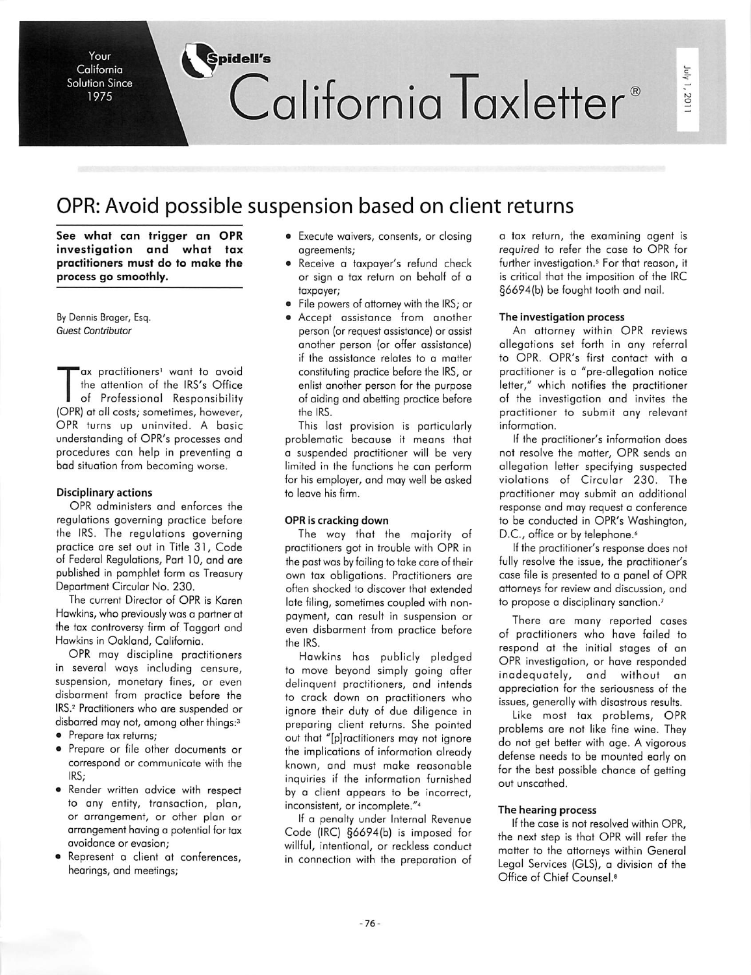# Your *Spidell's* California Taxletter<sup>®</sup>

# OPR: Avoid possible suspension based on client returns

*See what can trigger an OPR investigation and what tax practitioners must do to make the process go smoothly.*

©

By Dennis Brager, Esq. **Guest Contributor**

California Solution Since 1975

ax practitioners<sup>1</sup> want to avoid the attention of the IRS's Office of Professional Responsibility (OPR) at all costs; sometimes, however, OPR turns up uninvited. A basic understanding of OPR's processes and procedures can help in preventing a bad situation from becoming worse.

# *Disciplinary actions*

OPR administers and enforces the regulations governing practice before the IRS. The regulations governing practice are set out in Title 31, Code of Federal Regulations, Part 10, and are published in pamphlet form as Treasury Department Circular No. 230.

The current Director of OPR is Karen Hawkins, who previously was a partner at the tax controversy firm of Taggart and Hawkins in Oakland, California.

OPR may discipline practitioners in several ways including censure, suspension, monetary fines, or even disbarment from practice before the IRS.2 Practitioners who are suspended or disbarred may not, among other things:3

- Prepare tax returns;
- Prepare or file other documents or correspond or communicate with the IRS;
- Render written advice with respect to any entity, transaction, plan, or arrangement, or other plan or arrangement having a potential for tax avoidance or evasion;
- Represent a client at conferences, hearings, and meetings;
- Execute waivers, consents, or closing agreements;
- Receive a taxpayer's refund check or sign a tax return on behalf of a taxpayer;
- File powers of attorney with the IRS; or
- Accept assistance from another person (or request assistance) or assist another person (or offer assistance) if the assistance relates to a matter constituting practice before the IRS, or enlist another person for the purpose of aiding and abetting practice before *the IRS.*

This last provision is particularly problematic because it means that a suspended practitioner will be very limited in the functions he can perform for his employer, and may well be asked to leave his firm.

# *OPR is cracking down*

The way that the majority of practitioners got in trouble with OPR in the past was by failing to take care of their own tax obligations. Practitioners are often shocked to discover that extended late filing, sometimes coupled with non payment, can result in suspension or even disbarment from practice before *the IRS.*

Hawkins has publicly pledged to move beyond simply going after delinquent practitioners, and intends to crack down on practitioners who ignore their duty of due diligence in preparing client returns. She pointed out that "[p]ractitioners may not ignore the implications of information already known, and must make reasonable inquiries if the information furnished by a client appears to be incorrect, inconsistent, or incomplete."4

If a penalty under Internal Revenue Code (IRC) §6694(b) is imposed for willful, intentional, or reckless conduct in connection with the preparation of a tax return, the examining agent is **required** to refer the case to OPR for further investigation.<sup>5</sup> For that reason, it is critical that the imposition of the IRC §6694(b) be fought tooth and nail.

#### *The investigation process*

An attorney within OPR reviews allegations set forth in any referral to OPR. OPR's first contact with a practitioner is a "pre-allegation notice letter," which notifies the practitioner of the investigation and invites the practitioner to submit any relevant information.

If the practitioner's information does not resolve the matter, OPR sends an allegation letter specifying suspected violations of Circular 230. The practitioner may submit an additional response and may request a conference to be conducted in OPR's Washington, D.C., office or by telephone.<sup>6</sup>

If the practitioner's response does not fully resolve the issue, the practitioner's case file is presented to a panel of OPR attorneys for review and discussion, and to propose a disciplinary sanction.<sup>7</sup>

There are many reported cases of practitioners who have failed to respond at the initial stages of an OPR investigation, or have responded inadequately, and without an appreciation for the seriousness of the issues, generally with disastrous results.

Like most tax problems, OPR problems are not like fine wine. They do not get better with age. A vigorous defense needs to be mounted early on for the best possible chance of getting out unscathed.

#### *The hearing process*

If the case is not resolved within OPR. the next step is that OPR will refer the matter to the attorneys within General Legal Services (GLS), a division of the Office of Chief Counsel.8